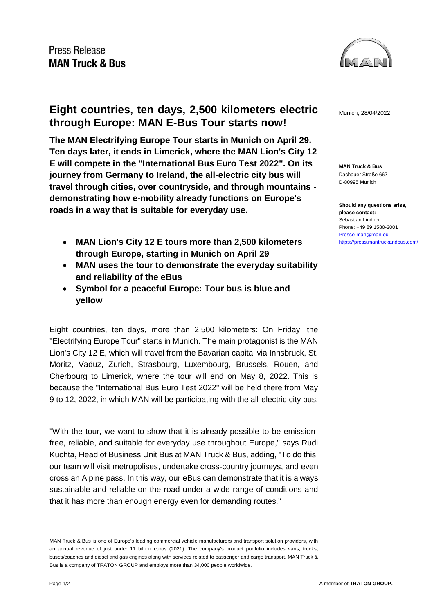

**Eight countries, ten days, 2,500 kilometers electric** Munich, 28/04/2022 **through Europe: MAN E-Bus Tour starts now!**

**The MAN Electrifying Europe Tour starts in Munich on April 29. Ten days later, it ends in Limerick, where the MAN Lion's City 12 E will compete in the "International Bus Euro Test 2022". On its journey from Germany to Ireland, the all-electric city bus will travel through cities, over countryside, and through mountains demonstrating how e-mobility already functions on Europe's roads in a way that is suitable for everyday use.**

- **MAN Lion's City 12 E tours more than 2,500 kilometers through Europe, starting in Munich on April 29**
- **MAN uses the tour to demonstrate the everyday suitability and reliability of the eBus**
- **Symbol for a peaceful Europe: Tour bus is blue and yellow**

Eight countries, ten days, more than 2,500 kilometers: On Friday, the "Electrifying Europe Tour" starts in Munich. The main protagonist is the MAN Lion's City 12 E, which will travel from the Bavarian capital via Innsbruck, St. Moritz, Vaduz, Zurich, Strasbourg, Luxembourg, Brussels, Rouen, and Cherbourg to Limerick, where the tour will end on May 8, 2022. This is because the "International Bus Euro Test 2022" will be held there from May 9 to 12, 2022, in which MAN will be participating with the all-electric city bus.

"With the tour, we want to show that it is already possible to be emissionfree, reliable, and suitable for everyday use throughout Europe," says Rudi Kuchta, Head of Business Unit Bus at MAN Truck & Bus, adding, "To do this, our team will visit metropolises, undertake cross-country journeys, and even cross an Alpine pass. In this way, our eBus can demonstrate that it is always sustainable and reliable on the road under a wide range of conditions and that it has more than enough energy even for demanding routes."

**MAN Truck & Bus** Dachauer Straße 667 D-80995 Munich

**Should any questions arise, please contact:** Sebastian Lindner Phone: +49 89 1580-2001 [Presse-man@man.eu](mailto:Presse-man@man.eu) <https://press.mantruckandbus.com/>

MAN Truck & Bus is one of Europe's leading commercial vehicle manufacturers and transport solution providers, with an annual revenue of just under 11 billion euros (2021). The company's product portfolio includes vans, trucks, buses/coaches and diesel and gas engines along with services related to passenger and cargo transport. MAN Truck & Bus is a company of TRATON GROUP and employs more than 34,000 people worldwide.